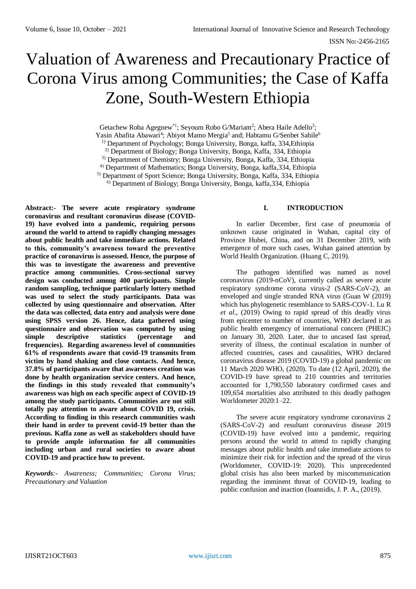ISSN No:-2456-2165

# Valuation of Awareness and Precautionary Practice of Corona Virus among Communities; the Case of Kaffa Zone, South-Western Ethiopia

Getachew Roba Agegnew<sup>\*1</sup>; Seyoum Robo G/Mariam<sup>2</sup>; Abera Haile Adello<sup>3</sup>;

Yasin Abafita Abawari<sup>4</sup>; Abiyot Mamo Mergia<sup>5</sup> and; Habtamu G/Senbet Sahile<sup>6</sup>

1) Department of Psychology; Bonga University, Bonga, kaffa, 334,Ethiopia

2) Department of Biology; Bonga University, Bonga, Kaffa, 334, Ethiopia

3) Department of Chemistry; Bonga University, Bonga, Kaffa, 334, Ethiopia

4) Department of Mathematics; Bonga University, Bonga, kaffa,334, Ethiopia

5) Department of Sport Science; Bonga University, Bonga, Kaffa, 334, Ethiopia

6) Department of Biology; Bonga University, Bonga, kaffa,334, Ethiopia

**Abstract:- The severe acute respiratory syndrome coronavirus and resultant coronavirus disease (COVID-19) have evolved into a pandemic, requiring persons around the world to attend to rapidly changing messages about public health and take immediate actions. Related to this, community's awareness toward the preventive practice of coronavirus is assessed. Hence, the purpose of this was to investigate the awareness and preventive practice among communities. Cross-sectional survey design was conducted among 400 participants. Simple random sampling, technique particularly lottery method was used to select the study participants. Data was collected by using questionnaire and observation. After the data was collected, data entry and analysis were done using SPSS version 26. Hence, data gathered using questionnaire and observation was computed by using simple descriptive statistics (percentage and frequencies). Regarding awareness level of communities 61% of respondents aware that covid-19 transmits from victim by hand shaking and close contacts. And hence, 37.8% of participants aware that awareness creation was done by health organization service centers. And hence, the findings in this study revealed that community's awareness was high on each specific aspect of COVID-19 among the study participants. Communities are not still totally pay attention to aware about COVID 19, crisis. According to finding in this research communities wash their hand in order to prevent covid-19 better than the previous. Kaffa zone as well as stakeholders should have to provide ample information for all communities including urban and rural societies to aware about COVID-19 and practice how to prevent.**

*Keywords:- Awareness; Communities; Corona Virus; Precautionary and Valuation*

### **I. INTRODUCTION**

In earlier December, first case of pneumonia of unknown cause originated in Wuhan, capital city of Province Hubei, China, and on 31 December 2019, with emergence of more such cases, Wuhan gained attention by World Health Organization. (Huang C, 2019).

The pathogen identified was named as novel coronavirus (2019-nCoV), currently called as severe acute respiratory syndrome corona virus-2 (SARS-CoV-2), an enveloped and single stranded RNA virus (Guan W (2019) which has phylogenetic resemblance to SARS-COV-1. Lu R *et al*., (2019) Owing to rapid spread of this deadly virus from epicenter to number of countries, WHO declared it as public health emergency of international concern (PHEIC) on January 30, 2020. Later, due to uncased fast spread, severity of illness, the continual escalation in number of affected countries, cases and causalities, WHO declared coronavirus disease 2019 (COVID-19) a global pandemic on 11 March 2020 WHO, (2020). To date (12 April, 2020), the COVID-19 have spread to 210 countries and territories accounted for 1,790,550 laboratory confirmed cases and 109,654 mortalities also attributed to this deadly pathogen Worldometer 2020:1–22.

The severe acute respiratory syndrome coronavirus 2 (SARS-CoV-2) and resultant coronavirus disease 2019 (COVID-19) have evolved into a pandemic, requiring persons around the world to attend to rapidly changing messages about public health and take immediate actions to minimize their risk for infection and the spread of the virus (Worldometer, COVID-19: 2020). This unprecedented global crisis has also been marked by miscommunication regarding the imminent threat of COVID-19, leading to public confusion and inaction (Ioannidis, J. P. A., (2019).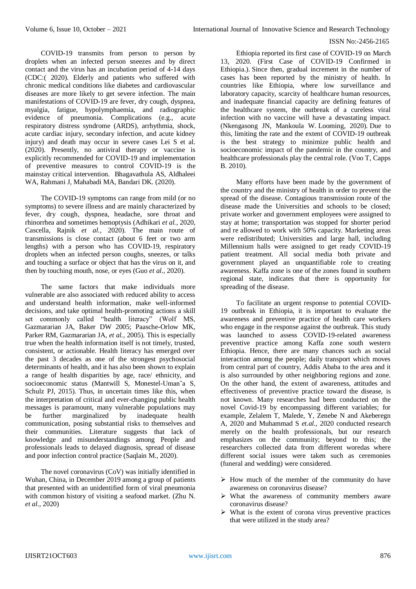COVID-19 transmits from person to person by droplets when an infected person sneezes and by direct contact and the virus has an incubation period of 4-14 days (CDC:( 2020). Elderly and patients who suffered with chronic medical conditions like diabetes and cardiovascular diseases are more likely to get severe infection. The main manifestations of COVID-19 are fever, dry cough, dyspnea, myalgia, fatigue, hypolymphaemia, and radiographic evidence of pneumonia. Complications (e.g., acute respiratory distress syndrome (ARDS), arrhythmia, shock, acute cardiac injury, secondary infection, and acute kidney injury) and death may occur in severe cases Lei S et al. (2020). Presently, no antiviral therapy or vaccine is explicitly recommended for COVID-19 and implementation of preventive measures to control COVID-19 is the mainstay critical intervention. Bhagavathula AS, Aldhaleei WA, Rahmani J, Mahabadi MA, Bandari DK. (2020).

The COVID-19 symptoms can range from mild (or no symptoms) to severe illness and are mainly characterized by fever, dry cough, dyspnea, headache, sore throat and rhinorrhea and sometimes hemoptysis (Adhikari *et al.,* 2020, Cascella, Rajnik *et al.,* 2020). The main route of transmissions is close contact (about 6 feet or two arm lengths) with a person who has COVID-19, respiratory droplets when an infected person coughs, sneezes, or talks and touching a surface or object that has the virus on it, and then by touching mouth, nose, or eyes (Guo *et al.,* 2020).

The same factors that make individuals more vulnerable are also associated with reduced ability to access and understand health information, make well-informed decisions, and take optimal health-promoting actions a skill set commonly called "health literacy" (Wolf MS, Gazmararian JA, Baker DW 2005; Paasche-Orlow MK, Parker RM, Gazmararian JA, *et al.,* 2005). This is especially true when the health information itself is not timely, trusted, consistent, or actionable. Health literacy has emerged over the past 3 decades as one of the strongest psychosocial determinants of health, and it has also been shown to explain a range of health disparities by age, race/ ethnicity, and socioeconomic status (Mantwill S, Monestel-Uman<sup>o</sup>a S, Schulz PJ, 2015). Thus, in uncertain times like this, when the interpretation of critical and ever-changing public health messages is paramount, many vulnerable populations may be further marginalized by inadequate health communication, posing substantial risks to themselves and their communities. Literature suggests that lack of knowledge and misunderstandings among People and professionals leads to delayed diagnosis, spread of disease and poor infection control practice (Saqlain M., 2020).

The novel coronavirus (CoV) was initially identified in Wuhan, China, in December 2019 among a group of patients that presented with an unidentified form of viral pneumonia with common history of visiting a seafood market. (Zhu N. *et al*., 2020)

Ethiopia reported its first case of COVID-19 on March 13, 2020. (First Case of COVID-19 Confirmed in Ethiopia.). Since then, gradual increment in the number of cases has been reported by the ministry of health. In countries like Ethiopia, where low surveillance and laboratory capacity, scarcity of healthcare human resources, and inadequate financial capacity are defining features of the healthcare system, the outbreak of a cureless viral infection with no vaccine will have a devastating impact. (Nkengasong JN, Mankoula W. Looming, 2020). Due to this, limiting the rate and the extent of COVID-19 outbreak is the best strategy to minimize public health and socioeconomic impact of the pandemic in the country, and healthcare professionals play the central role. (Voo T, Capps B. 2010).

Many efforts have been made by the government of the country and the ministry of health in order to prevent the spread of the disease. Contagious transmission route of the disease made the Universities and schools to be closed; private worker and government employees were assigned to stay at home; transportation was stopped for shorter period and re allowed to work with 50% capacity. Marketing areas were redistributed; Universities and large hall, including Millennium halls were assigned to get ready COVID-19 patient treatment. All social media both private and government played an unquantifiable role to creating awareness. Kaffa zone is one of the zones found in southern regional state, indicates that there is opportunity for spreading of the disease.

To facilitate an urgent response to potential COVID-19 outbreak in Ethiopia, it is important to evaluate the awareness and preventive practice of health care workers who engage in the response against the outbreak. This study was launched to assess COVID-19-related awareness preventive practice among Kaffa zone south western Ethiopia. Hence, there are many chances such as social interaction among the people; daily transport which moves from central part of country, Addis Ababa to the area and it is also surrounded by other neighboring regions and zone. On the other hand, the extent of awareness, attitudes and effectiveness of preventive practice toward the disease, is not known. Many researches had been conducted on the novel Covid-19 by encompassing different variables; for example, Zelalem T, Malede, Y, Zenebe N and Akeberegn A, 2020 and Muhammad S *et.al.,* 2020 conducted research merely on the health professionals, but our research emphasizes on the community; beyond to this; the researchers collected data from different woredas where different social issues were taken such as ceremonies (funeral and wedding) were considered.

- $\triangleright$  How much of the member of the community do have awareness on coronavirus disease?
- $\triangleright$  What the awareness of community members aware coronavirus disease?
- $\triangleright$  What is the extent of corona virus preventive practices that were utilized in the study area?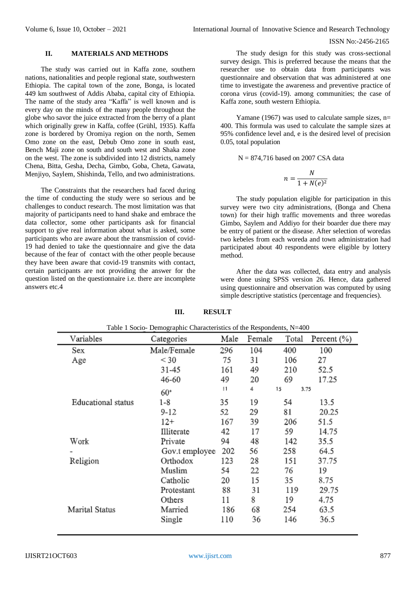#### **II. MATERIALS AND METHODS**

The study was carried out in Kaffa zone, southern nations, nationalities and people regional state, southwestern Ethiopia. The capital town of the zone, Bonga, is located 449 km southwest of Addis Ababa, capital city of Ethiopia. The name of the study area "Kaffa" is well known and is every day on the minds of the many people throughout the globe who savor the juice extracted from the berry of a plant which originally grew in Kaffa, coffee (Grühl, 1935). Kaffa zone is bordered by Oromiya region on the north, Semen Omo zone on the east, Debub Omo zone in south east, Bench Maji zone on south and south west and Shaka zone on the west. The zone is subdivided into 12 districts, namely Chena, Bitta, Gesha, Decha, Gimbo, Goba, Cheta, Gawata, Menjiyo, Saylem, Shishinda, Tello, and two administrations.

The Constraints that the researchers had faced during the time of conducting the study were so serious and be challenges to conduct research. The most limitation was that majority of participants need to hand shake and embrace the data collector, some other participants ask for financial support to give real information about what is asked, some participants who are aware about the transmission of covid-19 had denied to take the questionnaire and give the data because of the fear of contact with the other people because they have been aware that covid-19 transmits with contact, certain participants are not providing the answer for the question listed on the questionnaire i.e. there are incomplete answers etc.4

The study design for this study was cross-sectional survey design. This is preferred because the means that the researcher use to obtain data from participants was questionnaire and observation that was administered at one time to investigate the awareness and preventive practice of corona virus (covid-19). among communities; the case of Kaffa zone, south western Ethiopia.

Yamane (1967) was used to calculate sample sizes,  $n=$ 400. This formula was used to calculate the sample sizes at 95% confidence level and, e is the desired level of precision 0.05, total population

 $N = 874,716$  based on 2007 CSA data

$$
n = \frac{N}{1 + N(e)^2}
$$

The study population eligible for participation in this survey were two city administrations, (Bonga and Chena town) for their high traffic movements and three woredas Gimbo, Saylem and Addiyo for their boarder due there may be entry of patient or the disease. After selection of woredas two kebeles from each woreda and town administration had participated about 40 respondents were eligible by lottery method.

After the data was collected, data entry and analysis were done using SPSS version 26. Hence, data gathered using questionnaire and observation was computed by using simple descriptive statistics (percentage and frequencies).

| Table 1 Socio- Demographic Characteristics of the Respondents, N=400 |                |      |        |       |                 |
|----------------------------------------------------------------------|----------------|------|--------|-------|-----------------|
| Variables                                                            | Categories     | Male | Female | Total | Percent $(\% )$ |
| Sex                                                                  | Male/Female    | 296  | 104    | 400   | 100             |
| Age                                                                  | $<$ 30         | 75   | 31     | 106   | 27              |
|                                                                      | 31-45          | 161  | 49     | 210   | 52.5            |
|                                                                      | 46-60          | 49   | 20     | 69    | 17.25           |
|                                                                      | $60+$          | 1    | 4      | 15    | 3.75            |
| Educational status                                                   | 1-8            | 35   | 19     | 54    | 13.5            |
|                                                                      | $9 - 12$       | 52   | 29     | 81    | 20.25           |
|                                                                      | 12+            | 167  | 39     | 206   | 51.5            |
|                                                                      | Illiterate     | 42   | 17     | 59    | 14.75           |
| Work                                                                 | Private        | 94   | 48     | 142   | 35.5            |
|                                                                      | Gov.t employee | 202  | 56     | 258   | 64.5            |
| Religion                                                             | Orthodox       | 123  | 28     | 151   | 37.75           |
|                                                                      | Muslim         | 54   | 22     | 76    | 19              |
|                                                                      | Catholic       | 20   | 15     | 35    | 8.75            |
|                                                                      | Protestant     | 88   | 31     | 119   | 29.75           |
|                                                                      | Others         | 11   | 8      | 19    | 4.75            |
| Marital Status                                                       | Married        | 186  | 68     | 254   | 63.5            |
|                                                                      | Single         | 110  | 36     | 146   | 36.5            |

**III. RESULT**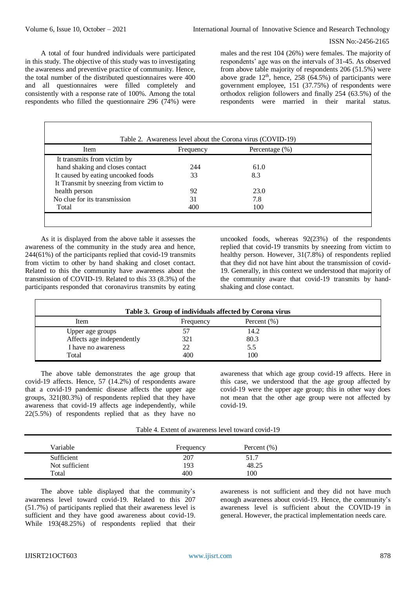A total of four hundred individuals were participated in this study. The objective of this study was to investigating the awareness and preventive practice of community. Hence, the total number of the distributed questionnaires were 400 and all questionnaires were filled completely and consistently with a response rate of 100%. Among the total respondents who filled the questionnaire 296 (74%) were males and the rest 104 (26%) were females. The majority of respondents' age was on the intervals of 31-45. As observed from above table majority of respondents 206 (51.5%) were above grade  $12<sup>th</sup>$ , hence, 258 (64.5%) of participants were government employee, 151 (37.75%) of respondents were orthodox religion followers and finally 254 (63.5%) of the respondents were married in their marital status.

| <b>Item</b>                            | Frequency | Percentage $(\%)$ |  |
|----------------------------------------|-----------|-------------------|--|
| It transmits from victim by            |           |                   |  |
| hand shaking and closes contact        | 244       | 61.0              |  |
| It caused by eating uncooked foods     | 33        | 8.3               |  |
| It Transmit by sneezing from victim to |           |                   |  |
| health person                          | 92        | 23.0              |  |
| No clue for its transmission           | 31        | 7.8               |  |
| Total                                  | 400       | 100               |  |

As it is displayed from the above table it assesses the awareness of the community in the study area and hence, 244(61%) of the participants replied that covid-19 transmits from victim to other by hand shaking and closet contact. Related to this the community have awareness about the transmission of COVID-19. Related to this 33 (8.3%) of the participants responded that coronavirus transmits by eating

uncooked foods, whereas 92(23%) of the respondents replied that covid-19 transmits by sneezing from victim to healthy person. However, 31(7.8%) of respondents replied that they did not have hint about the transmission of covid-19. Generally, in this context we understood that majority of the community aware that covid-19 transmits by handshaking and close contact.

| Table 3. Group of individuals affected by Corona virus |           |                |  |  |
|--------------------------------------------------------|-----------|----------------|--|--|
| <b>Item</b>                                            | Frequency | Percent $(\%)$ |  |  |
| Upper age groups                                       | 57        | 14.2           |  |  |
| Affects age independently                              | 321       | 80.3           |  |  |
| I have no awareness                                    | 22        | 5.5            |  |  |
| Total                                                  | 400       | 100            |  |  |

The above table demonstrates the age group that covid-19 affects. Hence, 57 (14.2%) of respondents aware that a covid-19 pandemic disease affects the upper age groups, 321(80.3%) of respondents replied that they have awareness that covid-19 affects age independently, while 22(5.5%) of respondents replied that as they have no awareness that which age group covid-19 affects. Here in this case, we understood that the age group affected by covid-19 were the upper age group; this in other way does not mean that the other age group were not affected by covid-19.

Table 4. Extent of awareness level toward covid-19

| Variable       | Frequency | Percent $(\% )$ |  |
|----------------|-----------|-----------------|--|
| Sufficient     | 207       | 51.7            |  |
| Not sufficient | 193       | 48.25           |  |
| Total          | 400       | 100             |  |

The above table displayed that the community's awareness level toward covid-19. Related to this 207 (51.7%) of participants replied that their awareness level is sufficient and they have good awareness about covid-19. While 193(48.25%) of respondents replied that their awareness is not sufficient and they did not have much enough awareness about covid-19. Hence, the community's awareness level is sufficient about the COVID-19 in general. However, the practical implementation needs care.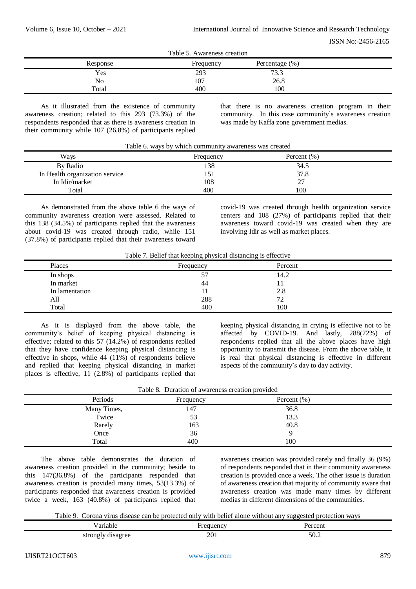|            | Table 5. Awareness creation |                        |  |
|------------|-----------------------------|------------------------|--|
| Response   | Frequency                   | Percentage $(\%)$      |  |
| <b>Yes</b> | 293                         | 73 <sub>2</sub><br>ر.ر |  |
| No         | 107                         | 26.8                   |  |
| Total      | 400                         | 100                    |  |

As it illustrated from the existence of community awareness creation; related to this 293 (73.3%) of the respondents responded that as there is awareness creation in their community while 107 (26.8%) of participants replied that there is no awareness creation program in their community. In this case community's awareness creation was made by Kaffa zone government medias.

|  |  |  | Table 6. ways by which community awareness was created |  |  |  |
|--|--|--|--------------------------------------------------------|--|--|--|
|--|--|--|--------------------------------------------------------|--|--|--|

| Ways                           | Frequency | Percent $(\%)$ |  |
|--------------------------------|-----------|----------------|--|
| By Radio                       | 138       | 34.5           |  |
| In Health organization service | 151       | 37.8           |  |
| In Idir/market                 | 108       | 27             |  |
| Total                          | 400       | 100            |  |

As demonstrated from the above table 6 the ways of community awareness creation were assessed. Related to this 138 (34.5%) of participants replied that the awareness about covid-19 was created through radio, while 151 (37.8%) of participants replied that their awareness toward

covid-19 was created through health organization service centers and 108 (27%) of participants replied that their awareness toward covid-19 was created when they are involving Idir as well as market places.

| Places         | Frequency | Percent |  |
|----------------|-----------|---------|--|
| In shops       | 57        | 14.2    |  |
| In market      | 44        |         |  |
| In lamentation | <b>TT</b> | 2.8     |  |
| All            | 288       | 72      |  |
| Total          | 400       | 100     |  |

As it is displayed from the above table, the community's belief of keeping physical distancing is effective; related to this 57  $(14.2\%)$  of respondents replied that they have confidence keeping physical distancing is effective in shops, while 44 (11%) of respondents believe and replied that keeping physical distancing in market places is effective, 11 (2.8%) of participants replied that

keeping physical distancing in crying is effective not to be affected by COVID-19. And lastly, 288(72%) of respondents replied that all the above places have high opportunity to transmit the disease. From the above table, it is real that physical distancing is effective in different aspects of the community's day to day activity.

|  |  | Table 8. Duration of awareness creation provided |  |  |
|--|--|--------------------------------------------------|--|--|
|--|--|--------------------------------------------------|--|--|

| Periods     | Frequency | Percent $(\% )$ |  |
|-------------|-----------|-----------------|--|
| Many Times, | 147       | 36.8            |  |
| Twice       | 53        | 13.3            |  |
| Rarely      | 163       | 40.8            |  |
| Once        | 36        | Q               |  |
| Total       | 400       | 100             |  |

The above table demonstrates the duration of awareness creation provided in the community; beside to this 147(36.8%) of the participants responded that awareness creation is provided many times, 53(13.3%) of participants responded that awareness creation is provided twice a week, 163 (40.8%) of participants replied that awareness creation was provided rarely and finally 36 (9%) of respondents responded that in their community awareness creation is provided once a week. The other issue is duration of awareness creation that majority of community aware that awareness creation was made many times by different medias in different dimensions of the communities.

Table 9. Corona virus disease can be protected only with belief alone without any suggested protection ways

| ∸ariabi∟                       |                      | Percen |  |
|--------------------------------|----------------------|--------|--|
| .                              | $\sim$ $\sim$ $\sim$ |        |  |
| strongly<br>disagree<br>ັ<br>ັ | 201                  | 50.2   |  |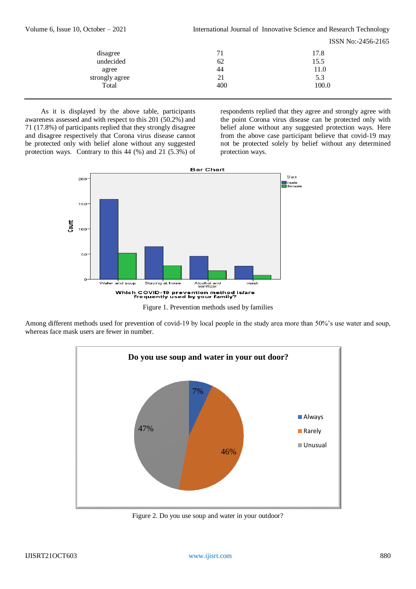| Volume 6, Issue 10, October $-2021$ | International Journal of Innovative Science and Research Technology |                    |  |  |  |
|-------------------------------------|---------------------------------------------------------------------|--------------------|--|--|--|
|                                     |                                                                     | ISSN No:-2456-2165 |  |  |  |
| disagree                            | 71                                                                  | 17.8               |  |  |  |
| undecided                           | 62                                                                  | 15.5               |  |  |  |
| agree                               | 44                                                                  | 11.0               |  |  |  |
| strongly agree                      | 21                                                                  | 5.3                |  |  |  |
| Total                               | 400                                                                 | 100.0              |  |  |  |
|                                     |                                                                     |                    |  |  |  |

As it is displayed by the above table, participants awareness assessed and with respect to this 201 (50.2%) and 71 (17.8%) of participants replied that they strongly disagree and disagree respectively that Corona virus disease cannot be protected only with belief alone without any suggested protection ways. Contrary to this 44 (%) and 21 (5.3%) of

respondents replied that they agree and strongly agree with the point Corona virus disease can be protected only with belief alone without any suggested protection ways. Here from the above case participant believe that covid-19 may not be protected solely by belief without any determined protection ways.



Among different methods used for prevention of covid-19 by local people in the study area more than 50%'s use water and soup, whereas face mask users are fewer in number.



Figure 2. Do you use soup and water in your outdoor?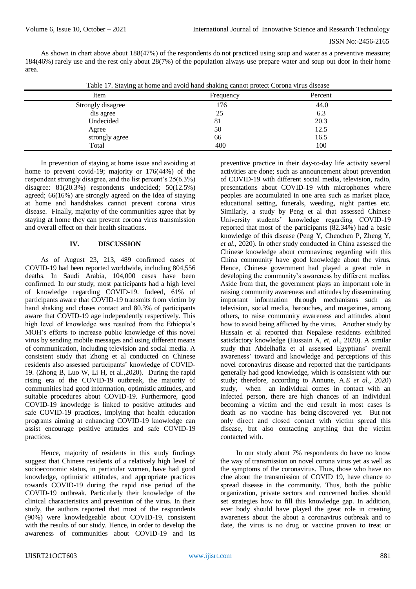As shown in chart above about 188(47%) of the respondents do not practiced using soup and water as a preventive measure; 184(46%) rarely use and the rest only about 28(7%) of the population always use prepare water and soup out door in their home area.

| Table 17. Staying at home and avoid hand shaking cannot protect Corona virus disease |  |  |  |  |  |
|--------------------------------------------------------------------------------------|--|--|--|--|--|
|                                                                                      |  |  |  |  |  |

| Item              | Frequency | Percent |  |
|-------------------|-----------|---------|--|
| Strongly disagree | 176       | 44.0    |  |
| dis agree         | 25        | 6.3     |  |
| Undecided         | 81        | 20.3    |  |
| Agree             | 50        | 12.5    |  |
| strongly agree    | 66        | 16.5    |  |
| Total             | 400       | 100     |  |

In prevention of staying at home issue and avoiding at home to prevent covid-19; majority or 176(44%) of the respondent strongly disagree, and the list percent's 25(6.3%) disagree: 81(20.3%) respondents undecided; 50(12.5%) agreed; 66(16%) are strongly agreed on the idea of staying at home and handshakes cannot prevent corona virus disease. Finally, majority of the communities agree that by staying at home they can prevent corona virus transmission and overall effect on their health situations.

## **IV. DISCUSSION**

As of August 23, 213, 489 confirmed cases of COVID-19 had been reported worldwide, including 804,556 deaths. In Saudi Arabia, 104,000 cases have been confirmed. In our study, most participants had a high level of knowledge regarding COVID-19. Indeed, 61% of participants aware that COVID-19 transmits from victim by hand shaking and closes contact and 80.3% of participants aware that COVID-19 age independently respectively. This high level of knowledge was resulted from the Ethiopia's MOH's efforts to increase public knowledge of this novel virus by sending mobile messages and using different means of communication, including television and social media. A consistent study that Zhong et al conducted on Chinese residents also assessed participants' knowledge of COVID-19. (Zhong B, Luo W, Li H, et al.,2020). During the rapid rising era of the COVID-19 outbreak, the majority of communities had good information, optimistic attitudes, and suitable procedures about COVID-19. Furthermore, good COVID-19 knowledge is linked to positive attitudes and safe COVID-19 practices, implying that health education programs aiming at enhancing COVID-19 knowledge can assist encourage positive attitudes and safe COVID-19 practices.

Hence, majority of residents in this study findings suggest that Chinese residents of a relatively high level of socioeconomic status, in particular women, have had good knowledge, optimistic attitudes, and appropriate practices towards COVID-19 during the rapid rise period of the COVID-19 outbreak. Particularly their knowledge of the clinical characteristics and prevention of the virus. In their study, the authors reported that most of the respondents (90%) were knowledgeable about COVID-19, consistent with the results of our study. Hence, in order to develop the awareness of communities about COVID-19 and its

preventive practice in their day-to-day life activity several activities are done; such as announcement about prevention of COVID-19 with different social media, television, radio, presentations about COVID-19 with microphones where peoples are accumulated in one area such as market place, educational setting, funerals, weeding, night parties etc. Similarly, a study by Peng et al that assessed Chinese University students' knowledge regarding COVID-19 reported that most of the participants (82.34%) had a basic knowledge of this disease (Peng Y, Chenchen P, Zheng Y, *et al.,* 2020). In other study conducted in China assessed the Chinese knowledge about coronavirus; regarding with this China community have good knowledge about the virus. Hence, Chinese government had played a great role in developing the community's awareness by different medias. Aside from that, the government plays an important role in raising community awareness and attitudes by disseminating important information through mechanisms such as television, social media, barouches, and magazines, among others, to raise community awareness and attitudes about how to avoid being afflicted by the virus. Another study by Hussain et al reported that Nepalese residents exhibited satisfactory knowledge (Hussain A, *et, al*., 2020). A similar study that Abdelhafiz et al assessed Egyptians' overall awareness' toward and knowledge and perceptions of this novel coronavirus disease and reported that the participants generally had good knowledge, which is consistent with our study; therefore, according to Annune, A.*E et al.,* 2020) study, when an individual comes in contact with an infected person, there are high chances of an individual becoming a victim and the end result in most cases is death as no vaccine has being discovered yet. But not only direct and closed contact with victim spread this disease, but also contacting anything that the victim contacted with.

In our study about 7% respondents do have no know the way of transmission on novel corona virus yet as well as the symptoms of the coronavirus. Thus, those who have no clue about the transmission of COVID 19, have chance to spread disease in the community. Thus, both the public organization, private sectors and concerned bodies should set strategies how to fill this knowledge gap. In addition, ever body should have played the great role in creating awareness about the about a coronavirus outbreak and to date, the virus is no drug or vaccine proven to treat or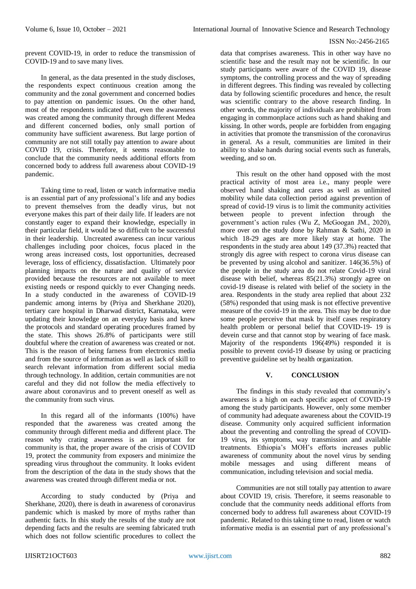prevent COVID-19, in order to reduce the transmission of COVID-19 and to save many lives.

In general, as the data presented in the study discloses, the respondents expect continuous creation among the community and the zonal government and concerned bodies to pay attention on pandemic issues. On the other hand, most of the respondents indicated that, even the awareness was created among the community through different Medea and different concerned bodies, only small portion of community have sufficient awareness. But large portion of community are not still totally pay attention to aware about COVID 19, crisis. Therefore, it seems reasonable to conclude that the community needs additional efforts from concerned body to address full awareness about COVID-19 pandemic.

Taking time to read, listen or watch informative media is an essential part of any professional's life and any bodies to prevent themselves from the deadly virus, but not everyone makes this part of their daily life. If leaders are not constantly eager to expand their knowledge, especially in their particular field, it would be so difficult to be successful in their leadership. Uncreated awareness can incur various challenges including poor choices, focus placed in the wrong areas increased costs, lost opportunities, decreased leverage, loss of efficiency, dissatisfaction. Ultimately poor planning impacts on the nature and quality of service provided because the resources are not available to meet existing needs or respond quickly to ever Changing needs. In a study conducted in the awareness of COVID-19 pandemic among interns by (Priya and Sherkhane 2020), tertiary care hospital in Dharwad district, Karnataka, were updating their knowledge on an everyday basis and knew the protocols and standard operating procedures framed by the state. This shows 26.8% of participants were still doubtful where the creation of awareness was created or not. This is the reason of being farness from electronics media and from the source of information as well as lack of skill to search relevant information from different social media through technology. In addition, certain communities are not careful and they did not follow the media effectively to aware about coronavirus and to prevent oneself as well as the community from such virus.

In this regard all of the informants (100%) have responded that the awareness was created among the community through different media and different place. The reason why crating awareness is an important for community is that, the proper aware of the crisis of COVID 19, protect the community from exposers and minimize the spreading virus throughout the community. It looks evident from the description of the data in the study shows that the awareness was created through different media or not.

According to study conducted by (Priya and Sherkhane, 2020), there is death in awareness of coronavirus pandemic which is masked by more of myths rather than authentic facts. In this study the results of the study are not depending facts and the results are seeming fabricated truth which does not follow scientific procedures to collect the

data that comprises awareness. This in other way have no scientific base and the result may not be scientific. In our study participants were aware of the COVID 19, disease symptoms, the controlling process and the way of spreading in different degrees. This finding was revealed by collecting data by following scientific procedures and hence, the result was scientific contrary to the above research finding. In other words, the majority of individuals are prohibited from engaging in commonplace actions such as hand shaking and kissing. In other words, people are forbidden from engaging in activities that promote the transmission of the coronavirus in general. As a result, communities are limited in their ability to shake hands during social events such as funerals, weeding, and so on.

This result on the other hand opposed with the most practical activity of most area i.e., many people were observed hand shaking and cares as well as unlimited mobility while data collection period against prevention of spread of covid-19 virus is to limit the community activities between people to prevent infection through the government's action rules (Wu Z, McGoogan JM., 2020), more over on the study done by Rahman & Sathi, 2020 in which 18-29 ages are more likely stay at home. The respondents in the study area about 149 (37.3%) reacted that strongly dis agree with respect to corona virus disease can be prevented by using alcohol and sanitizer. 146(36.5%) of the people in the study area do not relate Covid-19 viral disease with belief, whereas 85(21.3%) strongly agree on covid-19 disease is related with belief of the society in the area. Respondents in the study area replied that about 232 (58%) responded that using mask is not effective preventive measure of the covid-19 in the area. This may be due to due some people perceive that mask by itself cases respiratory health problem or personal belief that COVID-19- 19 is devein curse and that cannot stop by wearing of face mask. Majority of the respondents 196(49%) responded it is possible to prevent covid-19 disease by using or practicing preventive guideline set by health organization.

#### **V. CONCLUSION**

The findings in this study revealed that community's awareness is a high on each specific aspect of COVID-19 among the study participants. However, only some member of community had adequate awareness about the COVID-19 disease. Community only acquired sufficient information about the preventing and controlling the spread of COVID-19 virus, its symptoms, way transmission and available treatments. Ethiopia's MOH's efforts increases public awareness of community about the novel virus by sending mobile messages and using different means of communication, including television and social media.

Communities are not still totally pay attention to aware about COVID 19, crisis. Therefore, it seems reasonable to conclude that the community needs additional efforts from concerned body to address full awareness about COVID-19 pandemic. Related to this taking time to read, listen or watch informative media is an essential part of any professional's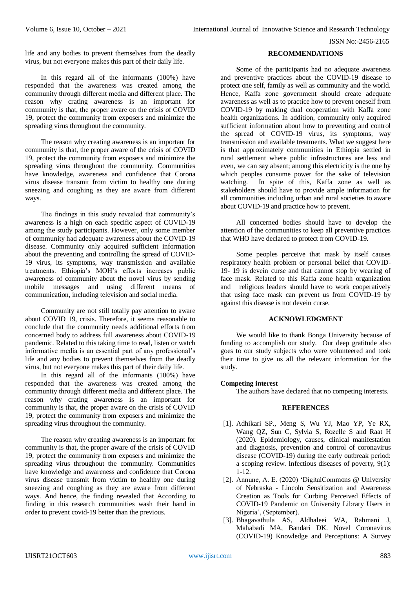life and any bodies to prevent themselves from the deadly virus, but not everyone makes this part of their daily life.

In this regard all of the informants (100%) have responded that the awareness was created among the community through different media and different place. The reason why crating awareness is an important for community is that, the proper aware on the crisis of COVID 19, protect the community from exposers and minimize the spreading virus throughout the community.

The reason why creating awareness is an important for community is that, the proper aware of the crisis of COVID 19, protect the community from exposers and minimize the spreading virus throughout the community. Communities have knowledge, awareness and confidence that Corona virus disease transmit from victim to healthy one during sneezing and coughing as they are aware from different ways.

The findings in this study revealed that community's awareness is a high on each specific aspect of COVID-19 among the study participants. However, only some member of community had adequate awareness about the COVID-19 disease. Community only acquired sufficient information about the preventing and controlling the spread of COVID-19 virus, its symptoms, way transmission and available treatments. Ethiopia's MOH's efforts increases public awareness of community about the novel virus by sending mobile messages and using different means of communication, including television and social media.

Community are not still totally pay attention to aware about COVID 19, crisis. Therefore, it seems reasonable to conclude that the community needs additional efforts from concerned body to address full awareness about COVID-19 pandemic. Related to this taking time to read, listen or watch informative media is an essential part of any professional's life and any bodies to prevent themselves from the deadly virus, but not everyone makes this part of their daily life.

In this regard all of the informants (100%) have responded that the awareness was created among the community through different media and different place. The reason why crating awareness is an important for community is that, the proper aware on the crisis of COVID 19, protect the community from exposers and minimize the spreading virus throughout the community.

The reason why creating awareness is an important for community is that, the proper aware of the crisis of COVID 19, protect the community from exposers and minimize the spreading virus throughout the community. Communities have knowledge and awareness and confidence that Corona virus disease transmit from victim to healthy one during sneezing and coughing as they are aware from different ways. And hence, the finding revealed that According to finding in this research communities wash their hand in order to prevent covid-19 better than the previous.

#### **RECOMMENDATIONS**

**S**ome of the participants had no adequate awareness and preventive practices about the COVID-19 disease to protect one self, family as well as community and the world. Hence, Kaffa zone government should create adequate awareness as well as to practice how to prevent oneself from COVID-19 by making dual cooperation with Kaffa zone health organizations. In addition, community only acquired sufficient information about how to preventing and control the spread of COVID-19 virus, its symptoms, way transmission and available treatments. What we suggest here is that approximately communities in Ethiopia settled in rural settlement where public infrastructures are less and even, we can say absent; among this electricity is the one by which peoples consume power for the sake of television watching. In spite of this, Kaffa zone as well as stakeholders should have to provide ample information for all communities including urban and rural societies to aware about COVID-19 and practice how to prevent.

All concerned bodies should have to develop the attention of the communities to keep all preventive practices that WHO have declared to protect from COVID-19.

Some peoples perceive that mask by itself causes respiratory health problem or personal belief that COVID-19- 19 is devein curse and that cannot stop by wearing of face mask. Related to this Kaffa zone health organization and religious leaders should have to work cooperatively that using face mask can prevent us from COVID-19 by against this disease is not devein curse.

# **ACKNOWLEDGMENT**

We would like to thank Bonga University because of funding to accomplish our study. Our deep gratitude also goes to our study subjects who were volunteered and took their time to give us all the relevant information for the study.

#### **Competing interest**

The authors have declared that no competing interests.

#### **REFERENCES**

- [1]. Adhikari SP., Meng S, Wu YJ, Mao YP, Ye RX, Wang QZ, Sun C, Sylvia S, Rozelle S and Raat H (2020). Epidemiology, causes, clinical manifestation and diagnosis, prevention and control of coronavirus disease (COVID-19) during the early outbreak period: a scoping review. Infectious diseases of poverty, 9(1): 1-12.
- [2]. Annune, A. E. (2020) 'DigitalCommons @ University of Nebraska - Lincoln Sensitization and Awareness Creation as Tools for Curbing Perceived Effects of COVID-19 Pandemic on University Library Users in Nigeria', (September).
- [3]. Bhagavathula AS, Aldhaleei WA, Rahmani J, Mahabadi MA, Bandari DK. Novel Coronavirus (COVID-19) Knowledge and Perceptions: A Survey